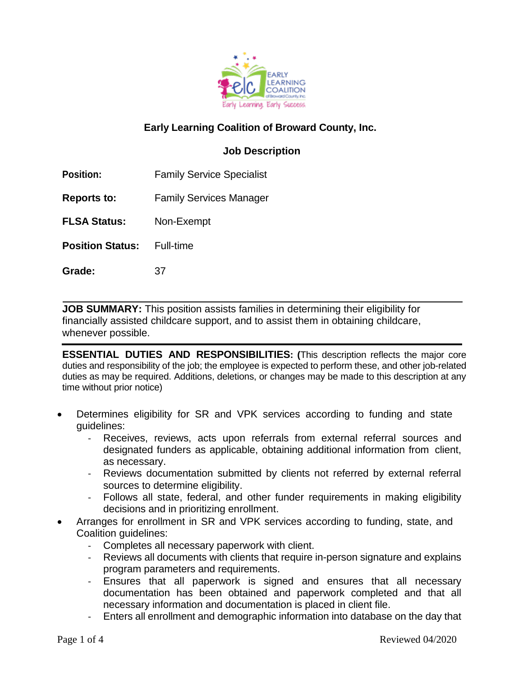

# **Early Learning Coalition of Broward County, Inc.**

## **Job Description**

**Position:** Family Service Specialist

**Reports to:** Family Services Manager

**FLSA Status:** Non-Exempt

**Position Status:** Full-time

**Grade:** 37

**JOB SUMMARY:** This position assists families in determining their eligibility for financially assisted childcare support, and to assist them in obtaining childcare, whenever possible.

**ESSENTIAL DUTIES AND RESPONSIBILITIES: (**This description reflects the major core duties and responsibility of the job; the employee is expected to perform these, and other job-related duties as may be required. Additions, deletions, or changes may be made to this description at any time without prior notice)

- Determines eligibility for SR and VPK services according to funding and state guidelines:
	- Receives, reviews, acts upon referrals from external referral sources and designated funders as applicable, obtaining additional information from client, as necessary.
	- Reviews documentation submitted by clients not referred by external referral sources to determine eligibility.
	- Follows all state, federal, and other funder requirements in making eligibility decisions and in prioritizing enrollment.
- Arranges for enrollment in SR and VPK services according to funding, state, and Coalition guidelines:
	- Completes all necessary paperwork with client.
	- Reviews all documents with clients that require in-person signature and explains program parameters and requirements.
	- Ensures that all paperwork is signed and ensures that all necessary documentation has been obtained and paperwork completed and that all necessary information and documentation is placed in client file.
	- Enters all enrollment and demographic information into database on the day that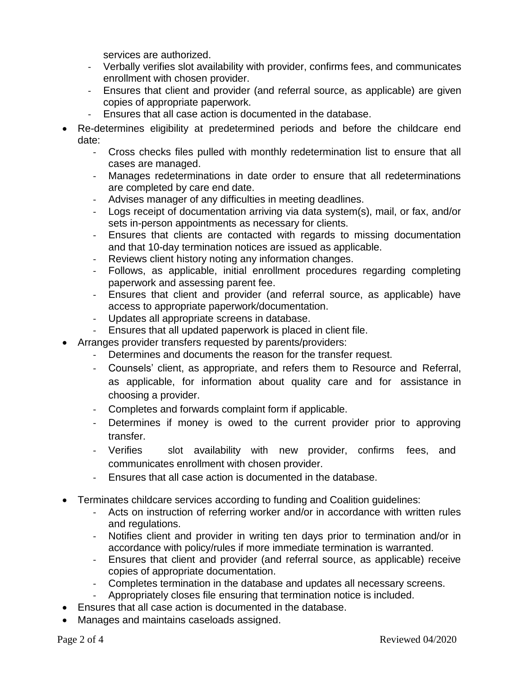services are authorized.

- Verbally verifies slot availability with provider, confirms fees, and communicates enrollment with chosen provider.
- Ensures that client and provider (and referral source, as applicable) are given copies of appropriate paperwork.
- Ensures that all case action is documented in the database.
- Re-determines eligibility at predetermined periods and before the childcare end date:
	- Cross checks files pulled with monthly redetermination list to ensure that all cases are managed.
	- Manages redeterminations in date order to ensure that all redeterminations are completed by care end date.
	- Advises manager of any difficulties in meeting deadlines.
	- Logs receipt of documentation arriving via data system(s), mail, or fax, and/or sets in-person appointments as necessary for clients.
	- Ensures that clients are contacted with regards to missing documentation and that 10-day termination notices are issued as applicable.
	- Reviews client history noting any information changes.
	- Follows, as applicable, initial enrollment procedures regarding completing paperwork and assessing parent fee.
	- Ensures that client and provider (and referral source, as applicable) have access to appropriate paperwork/documentation.
	- Updates all appropriate screens in database.
	- Ensures that all updated paperwork is placed in client file.
- Arranges provider transfers requested by parents/providers:
	- Determines and documents the reason for the transfer request.
	- Counsels' client, as appropriate, and refers them to Resource and Referral, as applicable, for information about quality care and for assistance in choosing a provider.
	- Completes and forwards complaint form if applicable.
	- Determines if money is owed to the current provider prior to approving transfer.
	- Verifies slot availability with new provider, confirms fees, and communicates enrollment with chosen provider.
	- Ensures that all case action is documented in the database.
- Terminates childcare services according to funding and Coalition guidelines:
	- Acts on instruction of referring worker and/or in accordance with written rules and regulations.
	- Notifies client and provider in writing ten days prior to termination and/or in accordance with policy/rules if more immediate termination is warranted.
	- Ensures that client and provider (and referral source, as applicable) receive copies of appropriate documentation.
	- Completes termination in the database and updates all necessary screens.
	- Appropriately closes file ensuring that termination notice is included.
- Ensures that all case action is documented in the database.
- Manages and maintains caseloads assigned.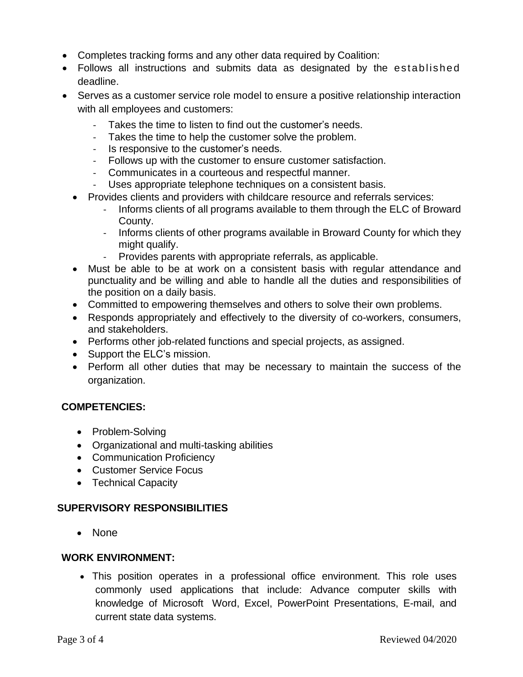- Completes tracking forms and any other data required by Coalition:
- Follows all instructions and submits data as designated by the established deadline.
- Serves as a customer service role model to ensure a positive relationship interaction with all employees and customers:
	- Takes the time to listen to find out the customer's needs.
	- Takes the time to help the customer solve the problem.
	- Is responsive to the customer's needs.
	- Follows up with the customer to ensure customer satisfaction.
	- Communicates in a courteous and respectful manner.
	- Uses appropriate telephone techniques on a consistent basis.
	- Provides clients and providers with childcare resource and referrals services:
		- Informs clients of all programs available to them through the ELC of Broward County.
		- Informs clients of other programs available in Broward County for which they might qualify.
		- Provides parents with appropriate referrals, as applicable.
	- Must be able to be at work on a consistent basis with regular attendance and punctuality and be willing and able to handle all the duties and responsibilities of the position on a daily basis.
	- Committed to empowering themselves and others to solve their own problems.
	- Responds appropriately and effectively to the diversity of co-workers, consumers, and stakeholders.
	- Performs other job-related functions and special projects, as assigned.
	- Support the ELC's mission.
	- Perform all other duties that may be necessary to maintain the success of the organization.

## **COMPETENCIES:**

- Problem-Solving
- Organizational and multi-tasking abilities
- Communication Proficiency
- Customer Service Focus
- Technical Capacity

#### **SUPERVISORY RESPONSIBILITIES**

• None

#### **WORK ENVIRONMENT:**

• This position operates in a professional office environment. This role uses commonly used applications that include: Advance computer skills with knowledge of Microsoft Word, Excel, PowerPoint Presentations, E-mail, and current state data systems.